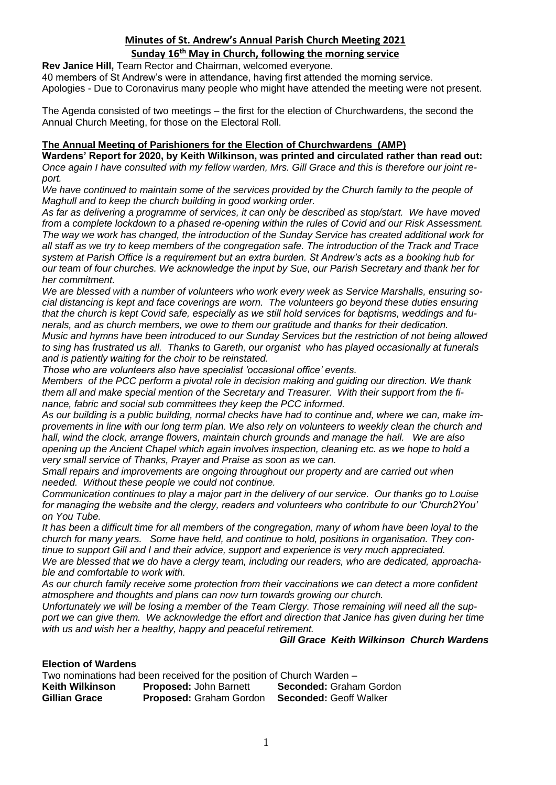### **Sunday 16th May in Church, following the morning service**

**Rev Janice Hill,** Team Rector and Chairman, welcomed everyone.

40 members of St Andrew's were in attendance, having first attended the morning service. Apologies - Due to Coronavirus many people who might have attended the meeting were not present.

The Agenda consisted of two meetings – the first for the election of Churchwardens, the second the Annual Church Meeting, for those on the Electoral Roll.

### **The Annual Meeting of Parishioners for the Election of Churchwardens (AMP)**

**Wardens' Report for 2020, by Keith Wilkinson, was printed and circulated rather than read out:** *Once again I have consulted with my fellow warden, Mrs. Gill Grace and this is therefore our joint report.*

We have continued to maintain some of the services provided by the Church family to the people of *Maghull and to keep the church building in good working order.* 

*As far as delivering a programme of services, it can only be described as stop/start. We have moved from a complete lockdown to a phased re-opening within the rules of Covid and our Risk Assessment. The way we work has changed, the introduction of the Sunday Service has created additional work for all staff as we try to keep members of the congregation safe. The introduction of the Track and Trace system at Parish Office is a requirement but an extra burden. St Andrew's acts as a booking hub for our team of four churches. We acknowledge the input by Sue, our Parish Secretary and thank her for her commitment.*

*We are blessed with a number of volunteers who work every week as Service Marshalls, ensuring social distancing is kept and face coverings are worn. The volunteers go beyond these duties ensuring that the church is kept Covid safe, especially as we still hold services for baptisms, weddings and funerals, and as church members, we owe to them our gratitude and thanks for their dedication. Music and hymns have been introduced to our Sunday Services but the restriction of not being allowed to sing has frustrated us all. Thanks to Gareth, our organist who has played occasionally at funerals and is patiently waiting for the choir to be reinstated.*

*Those who are volunteers also have specialist 'occasional office' events.*

*Members of the PCC perform a pivotal role in decision making and guiding our direction. We thank them all and make special mention of the Secretary and Treasurer. With their support from the finance, fabric and social sub committees they keep the PCC informed.*

*As our building is a public building, normal checks have had to continue and, where we can, make improvements in line with our long term plan. We also rely on volunteers to weekly clean the church and hall, wind the clock, arrange flowers, maintain church grounds and manage the hall. We are also opening up the Ancient Chapel which again involves inspection, cleaning etc. as we hope to hold a very small service of Thanks, Prayer and Praise as soon as we can.* 

*Small repairs and improvements are ongoing throughout our property and are carried out when needed. Without these people we could not continue.*

*Communication continues to play a major part in the delivery of our service. Our thanks go to Louise for managing the website and the clergy, readers and volunteers who contribute to our 'Church2You' on You Tube.*

*It has been a difficult time for all members of the congregation, many of whom have been loyal to the church for many years. Some have held, and continue to hold, positions in organisation. They continue to support Gill and I and their advice, support and experience is very much appreciated.*

*We are blessed that we do have a clergy team, including our readers, who are dedicated, approachable and comfortable to work with.*

*As our church family receive some protection from their vaccinations we can detect a more confident atmosphere and thoughts and plans can now turn towards growing our church.* 

*Unfortunately we will be losing a member of the Team Clergy. Those remaining will need all the support we can give them. We acknowledge the effort and direction that Janice has given during her time with us and wish her a healthy, happy and peaceful retirement.*

### *Gill Grace Keith Wilkinson Church Wardens*

### **Election of Wardens**

Two nominations had been received for the position of Church Warden – **Keith Wilkinson Proposed:** John Barnett **Seconded:** Graham Gordon **Gillian Grace Proposed:** Graham Gordon **Seconded:** Geoff Walker **Proposed: Graham Gordon**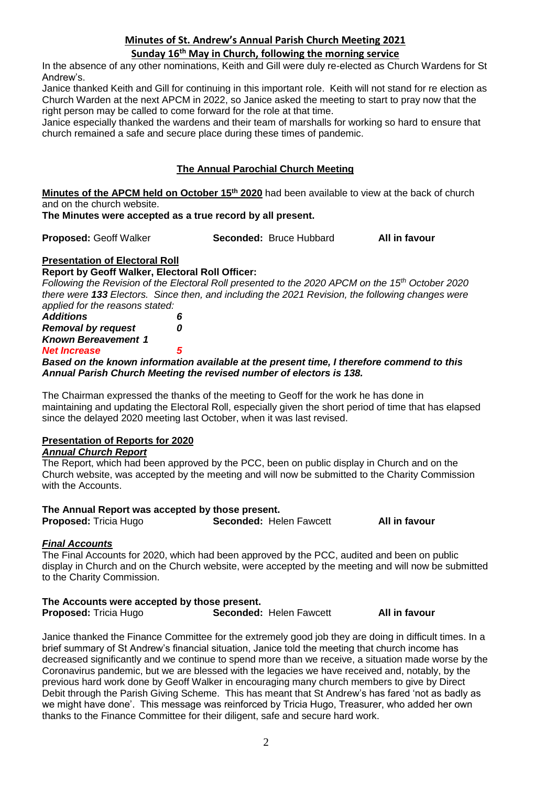### **Sunday 16th May in Church, following the morning service**

In the absence of any other nominations, Keith and Gill were duly re-elected as Church Wardens for St Andrew's.

Janice thanked Keith and Gill for continuing in this important role. Keith will not stand for re election as Church Warden at the next APCM in 2022, so Janice asked the meeting to start to pray now that the right person may be called to come forward for the role at that time.

Janice especially thanked the wardens and their team of marshalls for working so hard to ensure that church remained a safe and secure place during these times of pandemic.

### **The Annual Parochial Church Meeting**

**Minutes of the APCM held on October 15th 2020** had been available to view at the back of church and on the church website.

### **The Minutes were accepted as a true record by all present.**

**Proposed:** Geoff Walker **Seconded:** Bruce Hubbard **All in favour**

## **Presentation of Electoral Roll**

#### **Report by Geoff Walker, Electoral Roll Officer:**

*Following the Revision of the Electoral Roll presented to the 2020 APCM on the 15th October 2020 there were 133 Electors. Since then, and including the 2021 Revision, the following changes were applied for the reasons stated:*

| <b>Additions</b>               | 6 |
|--------------------------------|---|
| <b>Removal by request</b>      | 0 |
| <b>Known Bereavement 1</b>     |   |
| <b>Net Increase</b>            | 5 |
| Deserten the Lucius Informatio |   |

#### *Based on the known information available at the present time, I therefore commend to this Annual Parish Church Meeting the revised number of electors is 138.*

The Chairman expressed the thanks of the meeting to Geoff for the work he has done in maintaining and updating the Electoral Roll, especially given the short period of time that has elapsed since the delayed 2020 meeting last October, when it was last revised.

### **Presentation of Reports for 2020**

### *Annual Church Report*

The Report, which had been approved by the PCC, been on public display in Church and on the Church website, was accepted by the meeting and will now be submitted to the Charity Commission with the Accounts.

### **The Annual Report was accepted by those present.**

| <b>Proposed: Tricia Hugo</b> |  | Seconded: Helen Fawcet |
|------------------------------|--|------------------------|

**Proposed:** Tricia Hugo **Seconded:** Helen Fawcett **All in favour**

# *Final Accounts*

The Final Accounts for 2020, which had been approved by the PCC, audited and been on public display in Church and on the Church website, were accepted by the meeting and will now be submitted to the Charity Commission.

# **The Accounts were accepted by those present.**

**Proposed:** Tricia Hugo **Seconded:** Helen Fawcett **All in favour**

Janice thanked the Finance Committee for the extremely good job they are doing in difficult times. In a brief summary of St Andrew's financial situation, Janice told the meeting that church income has decreased significantly and we continue to spend more than we receive, a situation made worse by the Coronavirus pandemic, but we are blessed with the legacies we have received and, notably, by the previous hard work done by Geoff Walker in encouraging many church members to give by Direct Debit through the Parish Giving Scheme. This has meant that St Andrew's has fared 'not as badly as we might have done'. This message was reinforced by Tricia Hugo, Treasurer, who added her own thanks to the Finance Committee for their diligent, safe and secure hard work.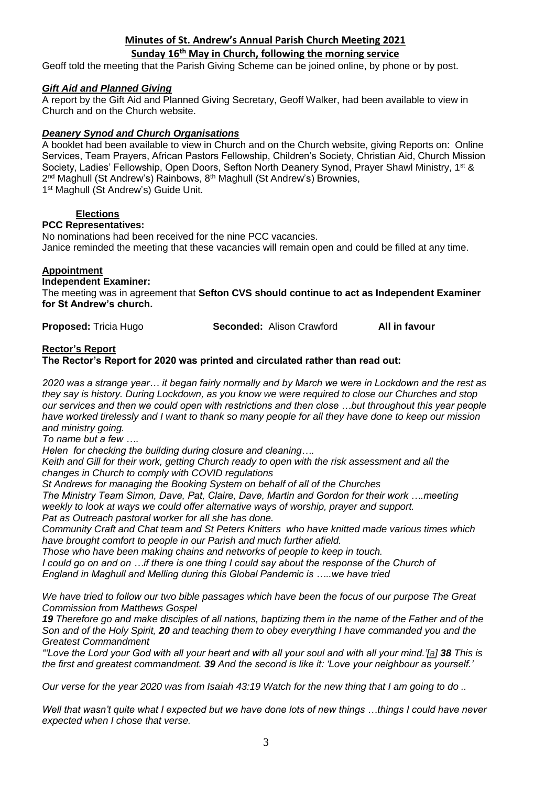### **Sunday 16th May in Church, following the morning service**

Geoff told the meeting that the Parish Giving Scheme can be joined online, by phone or by post.

### *Gift Aid and Planned Giving*

A report by the Gift Aid and Planned Giving Secretary, Geoff Walker, had been available to view in Church and on the Church website.

### *Deanery Synod and Church Organisations*

A booklet had been available to view in Church and on the Church website, giving Reports on: Online Services, Team Prayers, African Pastors Fellowship, Children's Society, Christian Aid, Church Mission Society, Ladies' Fellowship, Open Doors, Sefton North Deanery Synod, Prayer Shawl Ministry, 1<sup>st &</sup> 2<sup>nd</sup> Maghull (St Andrew's) Rainbows, 8<sup>th</sup> Maghull (St Andrew's) Brownies, 1<sup>st</sup> Maghull (St Andrew's) Guide Unit.

### **Elections**

### **PCC Representatives:**

No nominations had been received for the nine PCC vacancies. Janice reminded the meeting that these vacancies will remain open and could be filled at any time.

### **Appointment**

**Independent Examiner:** 

The meeting was in agreement that **Sefton CVS should continue to act as Independent Examiner for St Andrew's church.**

**Proposed:** Tricia Hugo **Seconded:** Alison Crawford **All in favour**

#### **Rector's Report**

**The Rector's Report for 2020 was printed and circulated rather than read out:**

*2020 was a strange year… it began fairly normally and by March we were in Lockdown and the rest as they say is history. During Lockdown, as you know we were required to close our Churches and stop our services and then we could open with restrictions and then close …but throughout this year people have worked tirelessly and I want to thank so many people for all they have done to keep our mission and ministry going.*

*To name but a few ….*

*Helen for checking the building during closure and cleaning….*

*Keith and Gill for their work, getting Church ready to open with the risk assessment and all the changes in Church to comply with COVID regulations*

*St Andrews for managing the Booking System on behalf of all of the Churches* 

*The Ministry Team Simon, Dave, Pat, Claire, Dave, Martin and Gordon for their work ….meeting weekly to look at ways we could offer alternative ways of worship, prayer and support. Pat as Outreach pastoral worker for all she has done.* 

*Community Craft and Chat team and St Peters Knitters who have knitted made various times which have brought comfort to people in our Parish and much further afield.* 

*Those who have been making chains and networks of people to keep in touch.*

*I* could go on and on …if there is one thing I could say about the response of the Church of *England in Maghull and Melling during this Global Pandemic is …..we have tried* 

*We have tried to follow our two bible passages which have been the focus of our purpose The Great Commission from Matthews Gospel* 

*19 Therefore go and make disciples of all nations, baptizing them in the name of the Father and of the Son and of the Holy Spirit, 20 and teaching them to obey everything I have commanded you and the Greatest Commandment* 

*"'Love the Lord your God with all your heart and with all your soul and with all your mind.'[a] 38 This is the first and greatest commandment. 39 And the second is like it: 'Love your neighbour as yourself.'*

*Our verse for the year 2020 was from Isaiah 43:19 Watch for the new thing that I am going to do ..*

*Well that wasn't quite what I expected but we have done lots of new things …things I could have never expected when I chose that verse.*